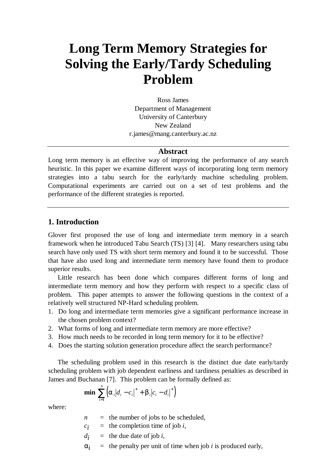# **Long Term Memory Strategies for Solving the Early/Tardy Scheduling Problem**

Ross James Department of Management University of Canterbury New Zealand r.james@mang.canterbury.ac.nz

#### **Abstract**

Long term memory is an effective way of improving the performance of any search heuristic. In this paper we examine different ways of incorporating long term memory strategies into a tabu search for the early/tardy machine scheduling problem. Computational experiments are carried out on a set of test problems and the performance of the different strategies is reported.

## **1. Introduction**

Glover first proposed the use of long and intermediate term memory in a search framework when he introduced Tabu Search (TS) [3] [4]. Many researchers using tabu search have only used TS with short term memory and found it to be successful. Those that have also used long and intermediate term memory have found them to produce superior results.

Little research has been done which compares different forms of long and intermediate term memory and how they perform with respect to a specific class of problem. This paper attempts to answer the following questions in the context of a relatively well structured NP-Hard scheduling problem.

- 1. Do long and intermediate term memories give a significant performance increase in the chosen problem context?
- 2. What forms of long and intermediate term memory are more effective?
- 3. How much needs to be recorded in long term memory for it to be effective?
- 4. Does the starting solution generation procedure affect the search performance?

The scheduling problem used in this research is the distinct due date early/tardy scheduling problem with job dependent earliness and tardiness penalties as described in James and Buchanan [7]. This problem can be formally defined as:

**min** 
$$
\sum_{i=1}^{n} (a_i |d_i - c_i|^+ + b_i |c_i - d_i|^+)
$$

where:

- $n =$  the number of jobs to be scheduled,
- $c_i$  = the completion time of job *i*,
- $d_i$  = the due date of job *i*,
- *a i* = the penalty per unit of time when job *i* is produced early,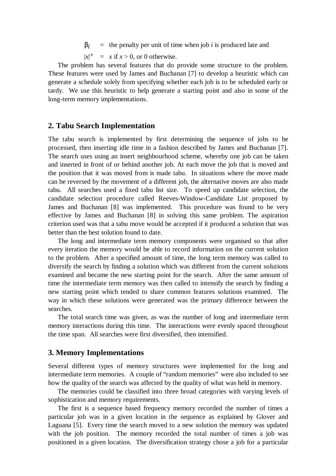**<sub>i</sub>**  $\equiv$  the penalty per unit of time when job *i* is produced late and

 $|x|^{+}$  = *x* if *x* > 0, or 0 otherwise.

The problem has several features that do provide some structure to the problem. These features were used by James and Buchanan [7] to develop a heuristic which can generate a schedule solely from specifying whether each job is to be scheduled early or tardy. We use this heuristic to help generate a starting point and also in some of the long-term memory implementations.

#### **2. Tabu Search Implementation**

The tabu search is implemented by first determining the sequence of jobs to be processed, then inserting idle time in a fashion described by James and Buchanan [7]. The search uses using an insert neighbourhood scheme, whereby one job can be taken and inserted in front of or behind another job. At each move the job that is moved and the position that it was moved from is made tabu. In situations where the move made can be reversed by the movement of a different job, the alternative moves are also made tabu. All searches used a fixed tabu list size. To speed up candidate selection, the candidate selection procedure called Reeves-Window-Candidate List proposed by James and Buchanan [8] was implemented. This procedure was found to be very effective by James and Buchanan [8] in solving this same problem. The aspiration criterion used was that a tabu move would be accepted if it produced a solution that was better than the best solution found to date.

The long and intermediate term memory components were organised so that after every iteration the memory would be able to record information on the current solution to the problem. After a specified amount of time, the long term memory was called to diversify the search by finding a solution which was different from the current solutions examined and became the new starting point for the search. After the same amount of time the intermediate term memory was then called to intensify the search by finding a new starting point which tended to share common features solutions examined. The way in which these solutions were generated was the primary difference between the searches.

The total search time was given, as was the number of long and intermediate term memory interactions during this time. The interactions were evenly spaced throughout the time span. All searches were first diversified, then intensified.

### **3. Memory Implementations**

Several different types of memory structures were implemented for the long and intermediate term memories. A couple of "random memories" were also included to see how the quality of the search was affected by the quality of what was held in memory.

The memories could be classified into three broad categories with varying levels of sophistication and memory requirements.

The first is a sequence based frequency memory recorded the number of times a particular job was in a given location in the sequence as explained by Glover and Laguana [5]. Every time the search moved to a new solution the memory was updated with the job position. The memory recorded the total number of times a job was positioned in a given location. The diversification strategy chose a job for a particular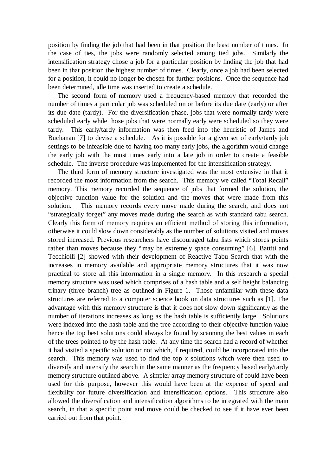position by finding the job that had been in that position the least number of times. In the case of ties, the jobs were randomly selected among tied jobs. Similarly the intensification strategy chose a job for a particular position by finding the job that had been in that position the highest number of times. Clearly, once a job had been selected for a position, it could no longer be chosen for further positions. Once the sequence had been determined, idle time was inserted to create a schedule.

The second form of memory used a frequency-based memory that recorded the number of times a particular job was scheduled on or before its due date (early) or after its due date (tardy). For the diversification phase, jobs that were normally tardy were scheduled early while those jobs that were normally early were scheduled so they were tardy. This early/tardy information was then feed into the heuristic of James and Buchanan [7] to devise a schedule. As it is possible for a given set of early/tardy job settings to be infeasible due to having too many early jobs, the algorithm would change the early job with the most times early into a late job in order to create a feasible schedule. The inverse procedure was implemented for the intensification strategy.

The third form of memory structure investigated was the most extensive in that it recorded the most information from the search. This memory we called "Total Recall" memory. This memory recorded the sequence of jobs that formed the solution, the objective function value for the solution and the moves that were made from this solution. This memory records every move made during the search, and does not "strategically forget" any moves made during the search as with standard tabu search. Clearly this form of memory requires an efficient method of storing this information, otherwise it could slow down considerably as the number of solutions visited and moves stored increased. Previous researchers have discouraged tabu lists which stores points rather than moves because they "may be extremely space consuming" [6]. Battiti and Tecchiolli [2] showed with their development of Reactive Tabu Search that with the increases in memory available and appropriate memory structures that it was now practical to store all this information in a single memory. In this research a special memory structure was used which comprises of a hash table and a self height balancing trinary (three branch) tree as outlined in Figure 1. Those unfamiliar with these data structures are referred to a computer science book on data structures such as [1]. The advantage with this memory structure is that it does not slow down significantly as the number of iterations increases as long as the hash table is sufficiently large. Solutions were indexed into the hash table and the tree according to their objective function value hence the top best solutions could always be found by scanning the best values in each of the trees pointed to by the hash table. At any time the search had a record of whether it had visited a specific solution or not which, if required, could be incorporated into the search. This memory was used to find the top *x* solutions which were then used to diversify and intensify the search in the same manner as the frequency based early/tardy memory structure outlined above. A simpler array memory structure of could have been used for this purpose, however this would have been at the expense of speed and flexibility for future diversification and intensification options. This structure also allowed the diversification and intensification algorithms to be integrated with the main search, in that a specific point and move could be checked to see if it have ever been carried out from that point.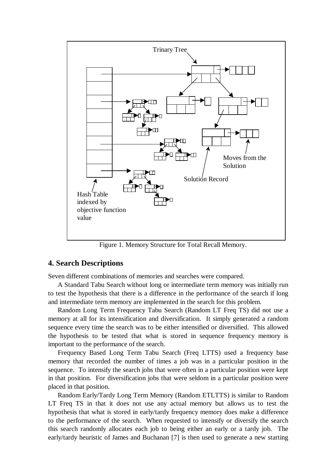

Figure 1. Memory Structure for Total Recall Memory.

# **4. Search Descriptions**

Seven different combinations of memories and searches were compared.

A Standard Tabu Search without long or intermediate term memory was initially run to test the hypothesis that there is a difference in the performance of the search if long and intermediate term memory are implemented in the search for this problem.

Random Long Term Frequency Tabu Search (Random LT Freq TS) did not use a memory at all for its intensification and diversification. It simply generated a random sequence every time the search was to be either intensified or diversified. This allowed the hypothesis to be tested that what is stored in sequence frequency memory is important to the performance of the search.

Frequency Based Long Term Tabu Search (Freq LTTS) used a frequency base memory that recorded the number of times a job was in a particular position in the sequence. To intensify the search jobs that were often in a particular position were kept in that position. For diversification jobs that were seldom in a particular position were placed in that position.

Random Early/Tardy Long Term Memory (Random ETLTTS) is similar to Random LT Freq TS in that it does not use any actual memory but allows us to test the hypothesis that what is stored in early/tardy frequency memory does make a difference to the performance of the search. When requested to intensify or diversify the search this search randomly allocates each job to being either an early or a tardy job. The early/tardy heuristic of James and Buchanan [7] is then used to generate a new starting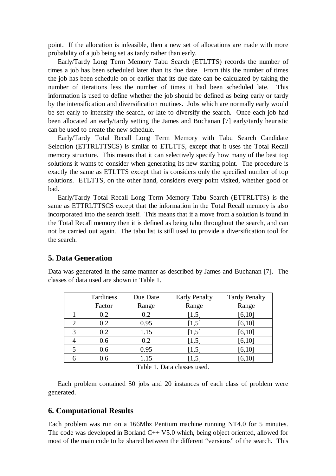point. If the allocation is infeasible, then a new set of allocations are made with more probability of a job being set as tardy rather than early.

Early/Tardy Long Term Memory Tabu Search (ETLTTS) records the number of times a job has been scheduled later than its due date. From this the number of times the job has been schedule on or earlier that its due date can be calculated by taking the number of iterations less the number of times it had been scheduled late. information is used to define whether the job should be defined as being early or tardy by the intensification and diversification routines. Jobs which are normally early would be set early to intensify the search, or late to diversify the search. Once each job had been allocated an early/tardy setting the James and Buchanan [7] early/tardy heuristic can be used to create the new schedule.

Early/Tardy Total Recall Long Term Memory with Tabu Search Candidate Selection (ETTRLTTSCS) is similar to ETLTTS, except that it uses the Total Recall memory structure. This means that it can selectively specify how many of the best top solutions it wants to consider when generating its new starting point. The procedure is exactly the same as ETLTTS except that is considers only the specified number of top solutions. ETLTTS, on the other hand, considers every point visited, whether good or bad.

Early/Tardy Total Recall Long Term Memory Tabu Search (ETTRLTTS) is the same as ETTRLTTSCS except that the information in the Total Recall memory is also incorporated into the search itself. This means that if a move from a solution is found in the Total Recall memory then it is defined as being tabu throughout the search, and can not be carried out again. The tabu list is still used to provide a diversification tool for the search.

# **5. Data Generation**

Data was generated in the same manner as described by James and Buchanan [7]. The classes of data used are shown in Table 1.

|   | Tardiness | Due Date | <b>Early Penalty</b> | <b>Tardy Penalty</b> |
|---|-----------|----------|----------------------|----------------------|
|   | Factor    | Range    | Range                | Range                |
|   | 0.2       | 0.2      | [1,5]                | [6, 10]              |
| 2 | 0.2       | 0.95     | [1,5]                | [6, 10]              |
| 3 | 0.2       | 1.15     | [1,5]                | [6, 10]              |
| 4 | 0.6       | 0.2      | [1,5]                | [6, 10]              |
|   | 0.6       | 0.95     | [1,5]                | [6, 10]              |
|   | 0.6       | 1.15     | $\left[1,5\right]$   | [6, 10]              |

Table 1. Data classes used.

Each problem contained 50 jobs and 20 instances of each class of problem were generated.

## **6. Computational Results**

Each problem was run on a 166Mhz Pentium machine running NT4.0 for 5 minutes. The code was developed in Borland C++ V5.0 which, being object oriented, allowed for most of the main code to be shared between the different "versions" of the search. This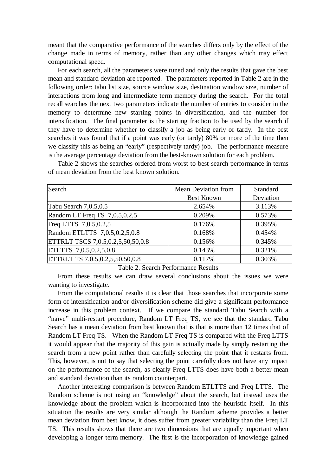meant that the comparative performance of the searches differs only by the effect of the change made in terms of memory, rather than any other changes which may effect computational speed.

For each search, all the parameters were tuned and only the results that gave the best mean and standard deviation are reported. The parameters reported in Table 2 are in the following order: tabu list size, source window size, destination window size, number of interactions from long and intermediate term memory during the search. For the total recall searches the next two parameters indicate the number of entries to consider in the memory to determine new starting points in diversification, and the number for intensification. The final parameter is the starting fraction to be used by the search if they have to determine whether to classify a job as being early or tardy. In the best searches it was found that if a point was early (or tardy) 80% or more of the time then we classify this as being an "early" (respectively tardy) job. The performance measure is the average percentage deviation from the best-known solution for each problem.

| Search                            | <b>Mean Deviation from</b> | Standard  |
|-----------------------------------|----------------------------|-----------|
|                                   | <b>Best Known</b>          | Deviation |
| Tabu Search 7,0.5,0.5             | 2.654%                     | 3.113%    |
| Random LT Freq TS $7,0.5,0.2,5$   | 0.209%                     | 0.573%    |
| Freq LTTS 7,0.5,0.2,5             | 0.176%                     | 0.395%    |
| Random ETLTTS 7,0.5,0.2,5,0.8     | 0.168%                     | 0.454%    |
| ETTRLT TSCS 7,0.5,0.2,5,50,50,0.8 | 0.156%                     | 0.345%    |
| ETLTTS 7,0.5,0.2,5,0.8            | 0.143%                     | 0.321%    |
| ETTRLT TS 7,0.5,0.2,5,50,50,0.8   | 0.117%                     | 0.303%    |

Table 2 shows the searches ordered from worst to best search performance in terms of mean deviation from the best known solution.

Table 2. Search Performance Results

From these results we can draw several conclusions about the issues we were wanting to investigate.

From the computational results it is clear that those searches that incorporate some form of intensification and/or diversification scheme did give a significant performance increase in this problem context. If we compare the standard Tabu Search with a "naïve" multi-restart procedure, Random LT Freq TS, we see that the standard Tabu Search has a mean deviation from best known that is that is more than 12 times that of Random LT Freq TS. When the Random LT Freq TS is compared with the Freq LTTS it would appear that the majority of this gain is actually made by simply restarting the search from a new point rather than carefully selecting the point that it restarts from. This, however, is not to say that selecting the point carefully does not have any impact on the performance of the search, as clearly Freq LTTS does have both a better mean and standard deviation than its random counterpart.

Another interesting comparison is between Random ETLTTS and Freq LTTS. The Random scheme is not using an "knowledge" about the search, but instead uses the knowledge about the problem which is incorporated into the heuristic itself. In this situation the results are very similar although the Random scheme provides a better mean deviation from best know, it does suffer from greater variability than the Freq LT TS. This results shows that there are two dimensions that are equally important when developing a longer term memory. The first is the incorporation of knowledge gained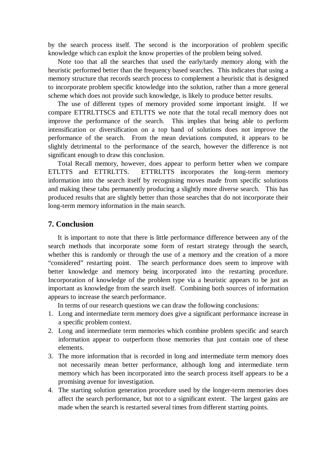by the search process itself. The second is the incorporation of problem specific knowledge which can exploit the know properties of the problem being solved.

Note too that all the searches that used the early/tardy memory along with the heuristic performed better than the frequency based searches. This indicates that using a memory structure that records search process to complement a heuristic that is designed to incorporate problem specific knowledge into the solution, rather than a more general scheme which does not provide such knowledge, is likely to produce better results.

The use of different types of memory provided some important insight. If we compare ETTRLTTSCS and ETLTTS we note that the total recall memory does not improve the performance of the search. This implies that being able to perform intensification or diversification on a top band of solutions does not improve the performance of the search. From the mean deviations computed, it appears to be slightly detrimental to the performance of the search, however the difference is not significant enough to draw this conclusion.

Total Recall memory, however, does appear to perform better when we compare ETLTTS and ETTRLTTS. ETTRLTTS incorporates the long-term memory information into the search itself by recognising moves made from specific solutions and making these tabu permanently producing a slightly more diverse search. This has produced results that are slightly better than those searches that do not incorporate their long-term memory information in the main search.

#### **7. Conclusion**

It is important to note that there is little performance difference between any of the search methods that incorporate some form of restart strategy through the search, whether this is randomly or through the use of a memory and the creation of a more "considered" restarting point. The search performance does seem to improve with better knowledge and memory being incorporated into the restarting procedure. Incorporation of knowledge of the problem type via a heuristic appears to be just as important as knowledge from the search itself. Combining both sources of information appears to increase the search performance.

In terms of our research questions we can draw the following conclusions:

- 1. Long and intermediate term memory does give a significant performance increase in a specific problem context.
- 2. Long and intermediate term memories which combine problem specific and search information appear to outperform those memories that just contain one of these elements.
- 3. The more information that is recorded in long and intermediate term memory does not necessarily mean better performance, although long and intermediate term memory which has been incorporated into the search process itself appears to be a promising avenue for investigation.
- 4. The starting solution generation procedure used by the longer-term memories does affect the search performance, but not to a significant extent. The largest gains are made when the search is restarted several times from different starting points.